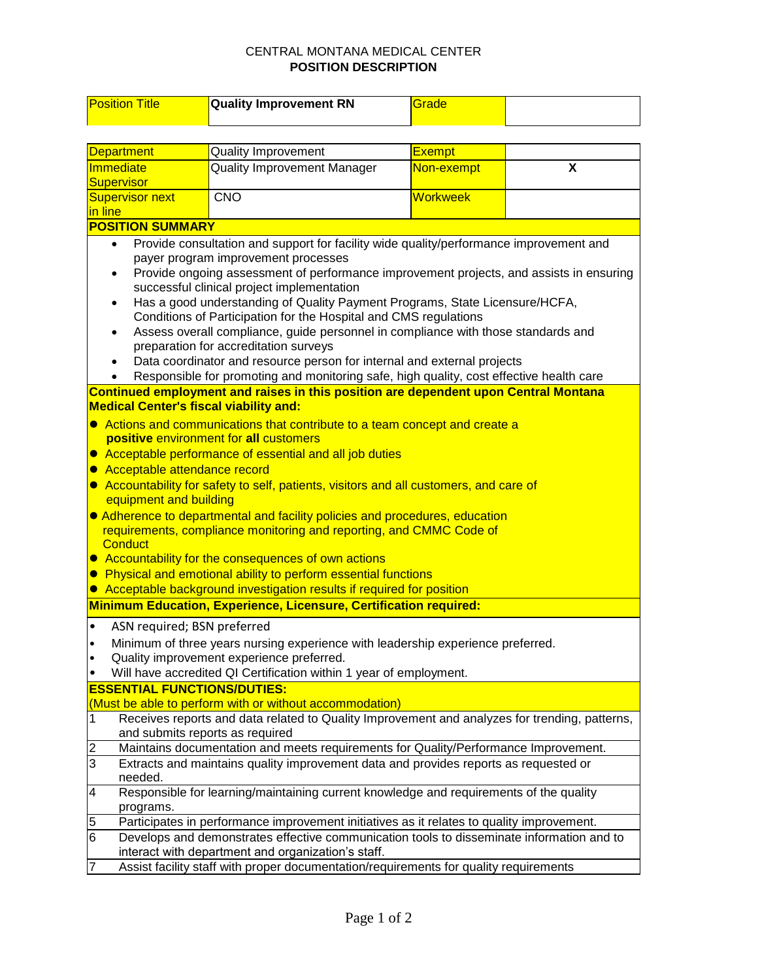## CENTRAL MONTANA MEDICAL CENTER **POSITION DESCRIPTION**

| <b>Position Title</b>                                                                                                                 | <b>Quality Improvement RN</b>                                                                                             | Grade           |   |  |  |  |  |
|---------------------------------------------------------------------------------------------------------------------------------------|---------------------------------------------------------------------------------------------------------------------------|-----------------|---|--|--|--|--|
|                                                                                                                                       |                                                                                                                           |                 |   |  |  |  |  |
| <b>Department</b>                                                                                                                     | <b>Quality Improvement</b>                                                                                                | <b>Exempt</b>   |   |  |  |  |  |
| Immediate                                                                                                                             | <b>Quality Improvement Manager</b>                                                                                        | Non-exempt      | X |  |  |  |  |
| <b>Supervisor</b>                                                                                                                     |                                                                                                                           |                 |   |  |  |  |  |
| <b>Supervisor next</b>                                                                                                                | <b>CNO</b>                                                                                                                | <b>Workweek</b> |   |  |  |  |  |
| in line                                                                                                                               |                                                                                                                           |                 |   |  |  |  |  |
| <b>POSITION SUMMARY</b>                                                                                                               |                                                                                                                           |                 |   |  |  |  |  |
| Provide consultation and support for facility wide quality/performance improvement and<br>$\bullet$                                   |                                                                                                                           |                 |   |  |  |  |  |
| payer program improvement processes                                                                                                   |                                                                                                                           |                 |   |  |  |  |  |
|                                                                                                                                       | Provide ongoing assessment of performance improvement projects, and assists in ensuring                                   |                 |   |  |  |  |  |
|                                                                                                                                       | successful clinical project implementation<br>Has a good understanding of Quality Payment Programs, State Licensure/HCFA, |                 |   |  |  |  |  |
| Conditions of Participation for the Hospital and CMS regulations                                                                      |                                                                                                                           |                 |   |  |  |  |  |
| Assess overall compliance, guide personnel in compliance with those standards and                                                     |                                                                                                                           |                 |   |  |  |  |  |
| preparation for accreditation surveys                                                                                                 |                                                                                                                           |                 |   |  |  |  |  |
| Data coordinator and resource person for internal and external projects                                                               |                                                                                                                           |                 |   |  |  |  |  |
|                                                                                                                                       | Responsible for promoting and monitoring safe, high quality, cost effective health care                                   |                 |   |  |  |  |  |
|                                                                                                                                       | Continued employment and raises in this position are dependent upon Central Montana                                       |                 |   |  |  |  |  |
| <b>Medical Center's fiscal viability and:</b>                                                                                         |                                                                                                                           |                 |   |  |  |  |  |
| • Actions and communications that contribute to a team concept and create a                                                           |                                                                                                                           |                 |   |  |  |  |  |
| positive environment for all customers                                                                                                |                                                                                                                           |                 |   |  |  |  |  |
| • Acceptable performance of essential and all job duties                                                                              |                                                                                                                           |                 |   |  |  |  |  |
| Acceptable attendance record                                                                                                          |                                                                                                                           |                 |   |  |  |  |  |
| • Accountability for safety to self, patients, visitors and all customers, and care of<br>equipment and building                      |                                                                                                                           |                 |   |  |  |  |  |
|                                                                                                                                       | • Adherence to departmental and facility policies and procedures, education                                               |                 |   |  |  |  |  |
|                                                                                                                                       | requirements, compliance monitoring and reporting, and CMMC Code of                                                       |                 |   |  |  |  |  |
| <b>Conduct</b>                                                                                                                        |                                                                                                                           |                 |   |  |  |  |  |
|                                                                                                                                       | • Accountability for the consequences of own actions                                                                      |                 |   |  |  |  |  |
|                                                                                                                                       | • Physical and emotional ability to perform essential functions                                                           |                 |   |  |  |  |  |
| Acceptable background investigation results if required for position<br>$\bullet$                                                     |                                                                                                                           |                 |   |  |  |  |  |
| Minimum Education, Experience, Licensure, Certification required:                                                                     |                                                                                                                           |                 |   |  |  |  |  |
| ASN required; BSN preferred                                                                                                           |                                                                                                                           |                 |   |  |  |  |  |
| Minimum of three years nursing experience with leadership experience preferred.<br>٠                                                  |                                                                                                                           |                 |   |  |  |  |  |
| Quality improvement experience preferred.                                                                                             |                                                                                                                           |                 |   |  |  |  |  |
|                                                                                                                                       | Will have accredited QI Certification within 1 year of employment.                                                        |                 |   |  |  |  |  |
| <b>ESSENTIAL FUNCTIONS/DUTIES:</b>                                                                                                    |                                                                                                                           |                 |   |  |  |  |  |
| (Must be able to perform with or without accommodation)                                                                               |                                                                                                                           |                 |   |  |  |  |  |
| Receives reports and data related to Quality Improvement and analyzes for trending, patterns,<br>1<br>and submits reports as required |                                                                                                                           |                 |   |  |  |  |  |
| Maintains documentation and meets requirements for Quality/Performance Improvement.<br>2                                              |                                                                                                                           |                 |   |  |  |  |  |
| 3<br>Extracts and maintains quality improvement data and provides reports as requested or<br>needed.                                  |                                                                                                                           |                 |   |  |  |  |  |
| Responsible for learning/maintaining current knowledge and requirements of the quality<br>4<br>programs.                              |                                                                                                                           |                 |   |  |  |  |  |
| Participates in performance improvement initiatives as it relates to quality improvement.<br>5                                        |                                                                                                                           |                 |   |  |  |  |  |
| 6<br>Develops and demonstrates effective communication tools to disseminate information and to                                        |                                                                                                                           |                 |   |  |  |  |  |
| interact with department and organization's staff.                                                                                    |                                                                                                                           |                 |   |  |  |  |  |
| Assist facility staff with proper documentation/requirements for quality requirements<br>7                                            |                                                                                                                           |                 |   |  |  |  |  |